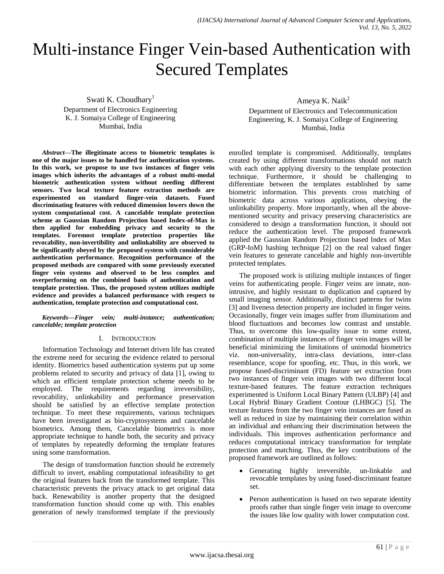# Multi-instance Finger Vein-based Authentication with Secured Templates

Swati K. Choudhary<sup>1</sup> Department of Electronics Engineering K. J. Somaiya College of Engineering Mumbai, India

*Abstract***—The illegitimate access to biometric templates is one of the major issues to be handled for authentication systems. In this work, we propose to use two instances of finger vein images which inherits the advantages of a robust multi-modal biometric authentication system without needing different sensors. Two local texture feature extraction methods are experimented on standard finger-vein datasets. Fused discriminating features with reduced dimension lowers down the system computational cost. A cancelable template protection scheme as Gaussian Random Projection based Index-of-Max is then applied for embedding privacy and security to the templates. Foremost template protection properties like revocability, non-invertibility and unlinkability are observed to be significantly obeyed by the proposed system with considerable authentication performance. Recognition performance of the proposed methods are compared with some previously executed finger vein systems and observed to be less complex and overperforming on the combined basis of authentication and template protection. Thus, the proposed system utilizes multiple evidence and provides a balanced performance with respect to authentication, template protection and computational cost.**

## *Keywords—Finger vein; multi-instance; authentication; cancelable; template protection*

## I. INTRODUCTION

Information Technology and Internet driven life has created the extreme need for securing the evidence related to personal identity. Biometrics based authentication systems put up some problems related to security and privacy of data [1], owing to which an efficient template protection scheme needs to be employed. The requirements regarding irreversibility, revocability, unlinkability and performance preservation should be satisfied by an effective template protection technique. To meet these requirements, various techniques have been investigated as bio-cryptosystems and cancelable biometrics. Among them, Cancelable biometrics is more appropriate technique to handle both, the security and privacy of templates by repeatedly deforming the template features using some transformation.

The design of transformation function should be extremely difficult to invert, enabling computational infeasibility to get the original features back from the transformed template. This characteristic prevents the privacy attack to get original data back. Renewability is another property that the designed transformation function should come up with. This enables generation of newly transformed template if the previously

Ameya K. Nai $k^2$ 

Department of Electronics and Telecommunication Engineering, K. J. Somaiya College of Engineering Mumbai, India

enrolled template is compromised. Additionally, templates created by using different transformations should not match with each other applying diversity to the template protection technique. Furthermore, it should be challenging to differentiate between the templates established by same biometric information. This prevents cross matching of biometric data across various applications, obeying the unlinkability property. More importantly, when all the abovementioned security and privacy preserving characteristics are considered to design a transformation function, it should not reduce the authentication level. The proposed framework applied the Gaussian Random Projection based Index of Max (GRP-IoM) hashing technique [2] on the real valued finger vein features to generate cancelable and highly non-invertible protected templates.

The proposed work is utilizing multiple instances of finger veins for authenticating people. Finger veins are innate, nonintrusive, and highly resistant to duplication and captured by small imaging sensor. Additionally, distinct patterns for twins [3] and liveness detection property are included in finger veins. Occasionally, finger vein images suffer from illuminations and blood fluctuations and becomes low contrast and unstable. Thus, to overcome this low-quality issue to some extent, combination of multiple instances of finger vein images will be beneficial minimizing the limitations of unimodal biometrics viz. non-universality, intra-class deviations, inter-class resemblance, scope for spoofing, etc. Thus, in this work, we propose fused-discriminant (FD) feature set extraction from two instances of finger vein images with two different local texture-based features. The feature extraction techniques experimented is Uniform Local Binary Pattern (ULBP) [4] and Local Hybrid Binary Gradient Contour (LHBGC) [5]. The texture features from the two finger vein instances are fused as well as reduced in size by maintaining their correlation within an individual and enhancing their discrimination between the individuals. This improves authentication performance and reduces computational intricacy transformation for template protection and matching. Thus, the key contributions of the proposed framework are outlined as follows:

- Generating highly irreversible, un-linkable and revocable templates by using fused-discriminant feature set.
- Person authentication is based on two separate identity proofs rather than single finger vein image to overcome the issues like low quality with lower computation cost.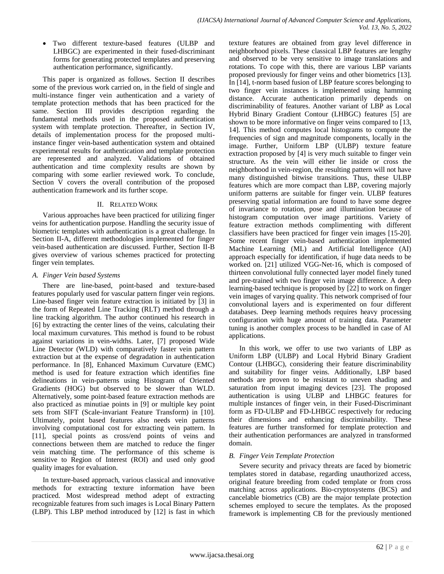Two different texture-based features (ULBP and LHBGC) are experimented in their fused-discriminant forms for generating protected templates and preserving authentication performance, significantly.

This paper is organized as follows. Section II describes some of the previous work carried on, in the field of single and multi-instance finger vein authentication and a variety of template protection methods that has been practiced for the same. Section III provides description regarding the fundamental methods used in the proposed authentication system with template protection. Thereafter, in Section IV, details of implementation process for the proposed multiinstance finger vein-based authentication system and obtained experimental results for authentication and template protection are represented and analyzed. Validations of obtained authentication and time complexity results are shown by comparing with some earlier reviewed work. To conclude, Section V covers the overall contribution of the proposed authentication framework and its further scope.

# II. RELATED WORK

Various approaches have been practiced for utilizing finger veins for authentication purpose. Handling the security issue of biometric templates with authentication is a great challenge. In Section II-A, different methodologies implemented for finger vein-based authentication are discussed. Further, Section II-B gives overview of various schemes practiced for protecting finger vein templates.

# *A. Finger Vein based Systems*

There are line-based, point-based and texture-based features popularly used for vascular pattern finger vein regions. Line-based finger vein feature extraction is initiated by [3] in the form of Repeated Line Tracking (RLT) method through a line tracking algorithm. The author continued his research in [6] by extracting the center lines of the veins, calculating their local maximum curvatures. This method is found to be robust against variations in vein-widths. Later, [7] proposed Wide Line Detector (WLD) with comparatively faster vein pattern extraction but at the expense of degradation in authentication performance. In [8], Enhanced Maximum Curvature (EMC) method is used for feature extraction which identifies fine delineations in vein-patterns using Histogram of Oriented Gradients (HOG) but observed to be slower than WLD. Alternatively, some point-based feature extraction methods are also practiced as minutiae points in [9] or multiple key point sets from SIFT (Scale-invariant Feature Transform) in [10]. Ultimately, point based features also needs vein patterns involving computational cost for extracting vein pattern. In [11], special points as cross/end points of veins and connections between them are matched to reduce the finger vein matching time. The performance of this scheme is sensitive to Region of Interest (ROI) and used only good quality images for evaluation.

In texture-based approach, various classical and innovative methods for extracting texture information have been practiced. Most widespread method adept of extracting recognizable features from such images is Local Binary Pattern (LBP). This LBP method introduced by [12] is fast in which texture features are obtained from gray level difference in neighborhood pixels. These classical LBP features are lengthy and observed to be very sensitive to image translations and rotations. To cope with this, there are various LBP variants proposed previously for finger veins and other biometrics [13]. In [14], t-norm based fusion of LBP feature scores belonging to two finger vein instances is implemented using hamming distance. Accurate authentication primarily depends on discriminability of features. Another variant of LBP as Local Hybrid Binary Gradient Contour (LHBGC) features [5] are shown to be more informative on finger veins compared to [13, 14]. This method computes local histograms to compute the frequencies of sign and magnitude components, locally in the image. Further, Uniform LBP (ULBP) texture feature extraction proposed by [4] is very much suitable to finger vein structure. As the vein will either lie inside or cross the neighborhood in vein-region, the resulting pattern will not have many distinguished bitwise transitions. Thus, these ULBP features which are more compact than LBP, covering majorly uniform patterns are suitable for finger vein. ULBP features preserving spatial information are found to have some degree of invariance to rotation, pose and illumination because of histogram computation over image partitions. Variety of feature extraction methods complimenting with different classifiers have been practiced for finger vein images [15-20]. Some recent finger vein-based authentication implemented Machine Learning (ML) and Artificial Intelligence (AI) approach especially for identification, if huge data needs to be worked on. [21] utilized VGG-Net-16, which is composed of thirteen convolutional fully connected layer model finely tuned and pre-trained with two finger vein image difference. A deep learning-based technique is proposed by [22] to work on finger vein images of varying quality. This network comprised of four convolutional layers and is experimented on four different databases. Deep learning methods requires heavy processing configuration with huge amount of training data. Parameter tuning is another complex process to be handled in case of AI applications.

In this work, we offer to use two variants of LBP as Uniform LBP (ULBP) and Local Hybrid Binary Gradient Contour (LHBGC), considering their feature discriminability and suitability for finger veins. Additionally, LBP based methods are proven to be resistant to uneven shading and saturation from input imaging devices [23]. The proposed authentication is using ULBP and LHBGC features for multiple instances of finger vein, in their Fused-Discriminant form as FD-ULBP and FD-LHBGC respectively for reducing their dimensions and enhancing discriminability. These features are further transformed for template protection and their authentication performances are analyzed in transformed domain.

# *B. Finger Vein Template Protection*

Severe security and privacy threats are faced by biometric templates stored in database, regarding unauthorized access, original feature breeding from coded template or from cross matching across applications. Bio-cryptosystems (BCS) and cancelable biometrics (CB) are the major template protection schemes employed to secure the templates. As the proposed framework is implementing CB for the previously mentioned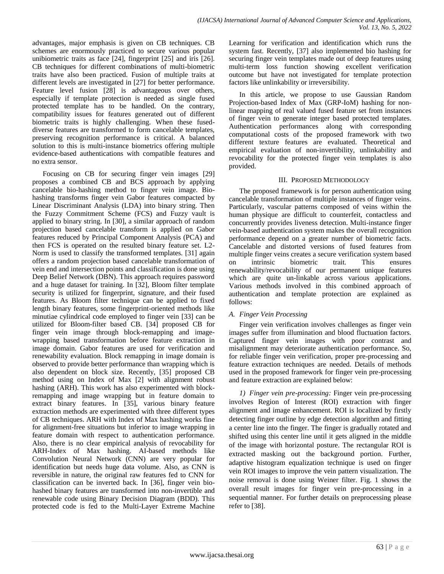advantages, major emphasis is given on CB techniques. CB schemes are enormously practiced to secure various popular unibiometric traits as face [24], fingerprint [25] and iris [26]. CB techniques for different combinations of multi-biometric traits have also been practiced. Fusion of multiple traits at different levels are investigated in [27] for better performance. Feature level fusion [28] is advantageous over others, especially if template protection is needed as single fused protected template has to be handled. On the contrary, compatibility issues for features generated out of different biometric traits is highly challenging. When these fuseddiverse features are transformed to form cancelable templates, preserving recognition performance is critical. A balanced solution to this is multi-instance biometrics offering multiple evidence-based authentications with compatible features and no extra sensor.

Focusing on CB for securing finger vein images [29] proposes a combined CB and BCS approach by applying cancelable bio-hashing method to finger vein image. Biohashing transforms finger vein Gabor features compacted by Linear Discriminant Analysis (LDA) into binary string. Then the Fuzzy Commitment Scheme (FCS) and Fuzzy vault is applied to binary string. In [30], a similar approach of random projection based cancelable transform is applied on Gabor features reduced by Principal Component Analysis (PCA) and then FCS is operated on the resulted binary feature set. L2- Norm is used to classify the transformed templates. [31] again offers a random projection based cancelable transformation of vein end and intersection points and classification is done using Deep Belief Network (DBN). This approach requires password and a huge dataset for training. In [32], Bloom filter template security is utilized for fingerprint, signature, and their fused features. As Bloom filter technique can be applied to fixed length binary features, some fingerprint-oriented methods like minutiae cylindrical code employed to finger vein [33] can be utilized for Bloom-filter based CB. [34] proposed CB for finger vein image through block-remapping and imagewrapping based transformation before feature extraction in image domain. Gabor features are used for verification and renewability evaluation. Block remapping in image domain is observed to provide better performance than wrapping which is also dependent on block size. Recently, [35] proposed CB method using on Index of Max [2] with alignment robust hashing (ARH). This work has also experimented with blockremapping and image wrapping but in feature domain to extract binary features. In [35], various binary feature extraction methods are experimented with three different types of CB techniques. ARH with Index of Max hashing works fine for alignment-free situations but inferior to image wrapping in feature domain with respect to authentication performance. Also, there is no clear empirical analysis of revocability for ARH-Index of Max hashing. AI-based methods like Convolution Neural Network (CNN) are very popular for identification but needs huge data volume. Also, as CNN is reversible in nature, the original raw features fed to CNN for classification can be inverted back. In [36], finger vein biohashed binary features are transformed into non-invertible and renewable code using Binary Decision Diagram (BDD). This protected code is fed to the Multi-Layer Extreme Machine

Learning for verification and identification which runs the system fast. Recently, [37] also implemented bio hashing for securing finger vein templates made out of deep features using multi-term loss function showing excellent verification outcome but have not investigated for template protection factors like unlinkability or irreversibility.

In this article, we propose to use Gaussian Random Projection-based Index of Max (GRP-IoM) hashing for nonlinear mapping of real valued fused feature set from instances of finger vein to generate integer based protected templates. Authentication performances along with corresponding computational costs of the proposed framework with two different texture features are evaluated. Theoretical and empirical evaluation of non-invertibility, unlinkability and revocability for the protected finger vein templates is also provided.

# III. PROPOSED METHODOLOGY

The proposed framework is for person authentication using cancelable transformation of multiple instances of finger veins. Particularly, vascular patterns composed of veins within the human physique are difficult to counterfeit, contactless and concurrently provides liveness detection. Multi-instance finger vein-based authentication system makes the overall recognition performance depend on a greater number of biometric facts. Cancelable and distorted versions of fused features from multiple finger veins creates a secure verification system based on intrinsic biometric trait. This ensures renewability/revocability of our permanent unique features which are quite un-linkable across various applications. Various methods involved in this combined approach of authentication and template protection are explained as follows:

# *A. Finger Vein Processing*

Finger vein verification involves challenges as finger vein images suffer from illumination and blood fluctuation factors. Captured finger vein images with poor contrast and misalignment may deteriorate authentication performance. So, for reliable finger vein verification, proper pre-processing and feature extraction techniques are needed. Details of methods used in the proposed framework for finger vein pre-processing and feature extraction are explained below:

*1) Finger vein pre-processing:* Finger vein pre-processing involves Region of Interest (ROI) extraction with finger alignment and image enhancement. ROI is localized by firstly detecting finger outline by edge detection algorithm and fitting a center line into the finger. The finger is gradually rotated and shifted using this center line until it gets aligned in the middle of the image with horizontal posture. The rectangular ROI is extracted masking out the background portion. Further, adaptive histogram equalization technique is used on finger vein ROI images to improve the vein pattern visualization. The noise removal is done using Weiner filter. Fig. 1 shows the overall result images for finger vein pre-processing in a sequential manner. For further details on preprocessing please refer to [38].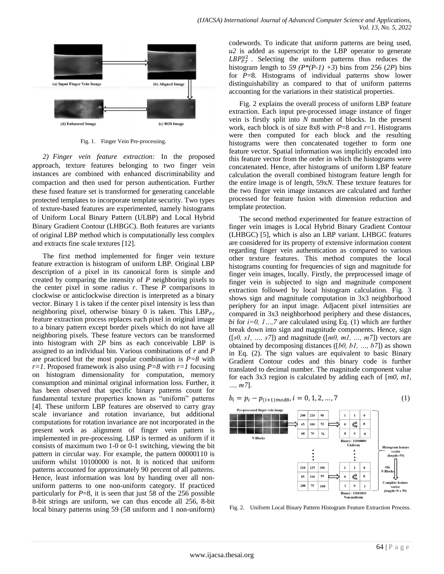

Fig. 1. Finger Vein Pre-processing.

*2) Finger vein feature extraction:* In the proposed approach, texture features belonging to two finger vein instances are combined with enhanced discriminability and compaction and then used for person authentication. Further these fused feature set is transformed for generating cancelable protected templates to incorporate template security. Two types of texture-based features are experimented, namely histograms of Uniform Local Binary Pattern (ULBP) and Local Hybrid Binary Gradient Contour (LHBGC). Both features are variants of original LBP method which is computationally less complex and extracts fine scale textures [12].

The first method implemented for finger vein texture feature extraction is histogram of uniform LBP. Original LBP description of a pixel in its canonical form is simple and created by comparing the intensity of *P* neighboring pixels to the center pixel in some radius *r*. These *P* comparisons in clockwise or anticlockwise direction is interpreted as a binary vector. Binary 1 is taken if the center pixel intensity is less than neighboring pixel, otherwise binary 0 is taken. This  $LBP_{Pr}$ feature extraction process replaces each pixel in original image to a binary pattern except border pixels which do not have all neighboring pixels. These feature vectors can be transformed into histogram with 2*P* bins as each conceivable LBP is assigned to an individual bin. Various combinations of *r* and *P* are practiced but the most popular combination is *P=8* with  $r=1$ . Proposed framework is also using  $P=8$  with  $r=1$  focusing on histogram dimensionality for computation, memory consumption and minimal original information loss. Further, it has been observed that specific binary patterns count for fundamental texture properties known as "uniform" patterns [4]. These uniform LBP features are observed to carry gray scale invariance and rotation invariance, but additional computations for rotation invariance are not incorporated in the present work as alignment of finger vein pattern is implemented in pre-processing. LBP is termed as uniform if it consists of maximum two 1-0 or 0-1 switching, viewing the bit pattern in circular way. For example, the pattern 00000110 is uniform whilst 10100000 is not. It is noticed that uniform patterns accounted for approximately 90 percent of all patterns. Hence, least information was lost by handing over all nonuniform patterns to one non-uniform category. If practiced particularly for  $P=8$ , it is seen that just 58 of the 256 possible 8-bit strings are uniform, we can thus encode all 256, 8-bit local binary patterns using 59 (58 uniform and 1 non-uniform)

codewords. To indicate that uniform patterns are being used, *u2* is added as superscript to the LBP operator to generate  $LBP_{P,r}^{u2}$ . Selecting the uniform patterns thus reduces the histogram length to 59 ( $P^*(P-1)$  +3) bins from 256 (2P) bins for *P*=8. Histograms of individual patterns show lower distinguishability as compared to that of uniform patterns accounting for the variations in their statistical properties.

Fig. 2 explains the overall process of uniform LBP feature extraction. Each input pre-processed image instance of finger vein is firstly split into *N* number of blocks. In the present work, each block is of size 8x8 with *P*=8 and *r*=1. Histograms were then computed for each block and the resulting histograms were then concatenated together to form one feature vector. Spatial information was implicitly encoded into this feature vector from the order in which the histograms were concatenated. Hence, after histograms of uniform LBP feature calculation the overall combined histogram feature length for the entire image is of length, 59x*N*. These texture features for the two finger vein image instances are calculated and further processed for feature fusion with dimension reduction and template protection.

The second method experimented for feature extraction of finger vein images is Local Hybrid Binary Gradient Contour (LHBGC) [5], which is also an LBP variant. LHBGC features are considered for its property of extensive information content regarding finger vein authentication as compared to various other texture features. This method computes the local histograms counting for frequencies of sign and magnitude for finger vein images, locally. Firstly, the preprocessed image of finger vein is subjected to sign and magnitude component extraction followed by local histogram calculation. Fig. 3 shows sign and magnitude computation in 3x3 neighborhood periphery for an input image. Adjacent pixel intensities are compared in 3x3 neighborhood periphery and these distances, *bi* for *i=0, 1…,7* are calculated using Eq. (1) which are further break down into sign and magnitude components. Hence, sign ([*s0, s1, …, s7*]) and magnitude ([*m0, m1, …, m7*]) vectors are obtained by decomposing distances ([*b0, b1, …, b7*]) as shown in Eq. (2). The sign values are equivalent to basic Binary Gradient Contour codes and this binary code is further translated to decimal number. The magnitude component value for each 3x3 region is calculated by adding each of [*m0, m1, …, m7*].

$$
b_i = p_i - p_{(i+1) \mod 8}, i = 0, 1, 2, ..., 7
$$
 (1)



Fig. 2. Uniform Local Binary Pattern Histogram Feature Extraction Process.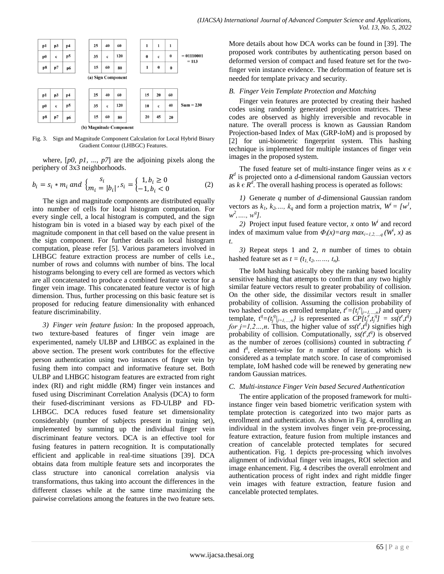

Fig. 3. Sign and Magnitude Component Calculation for Local Hybrid Binary Gradient Contour (LHBGC) Features.

where, [*p0, p1, ..., p7*] are the adjoining pixels along the periphery of 3x3 neighborhoods.

$$
b_i = s_i * m_i \text{ and } \begin{cases} s_i \\ m_i = |b_i| \end{cases}, s_i = \begin{cases} 1, b_i \ge 0 \\ -1, b_i < 0 \end{cases} \tag{2}
$$

The sign and magnitude components are distributed equally into number of cells for local histogram computation. For every single cell, a local histogram is computed, and the sign histogram bin is voted in a biased way by each pixel of the magnitude component in that cell based on the value present in the sign component. For further details on local histogram computation, please refer [5]. Various parameters involved in LHBGC feature extraction process are number of cells i.e., number of rows and columns with number of bins. The local histograms belonging to every cell are formed as vectors which are all concatenated to produce a combined feature vector for a finger vein image. This concatenated feature vector is of high dimension. Thus, further processing on this basic feature set is proposed for reducing feature dimensionality with enhanced feature discriminability.

*3) Finger vein feature fusion:* In the proposed approach, two texture-based features of finger vein image are experimented, namely ULBP and LHBGC as explained in the above section. The present work contributes for the effective person authentication using two instances of finger vein by fusing them into compact and informative feature set. Both ULBP and LHBGC histogram features are extracted from right index (RI) and right middle (RM) finger vein instances and fused using Discriminant Correlation Analysis (DCA) to form their fused-discriminant versions as FD-ULBP and FD-LHBGC. DCA reduces fused feature set dimensionality considerably (number of subjects present in training set), implemented by summing up the individual finger vein discriminant feature vectors. DCA is an effective tool for fusing features in pattern recognition. It is computationally efficient and applicable in real-time situations [39]. DCA obtains data from multiple feature sets and incorporates the class structure into canonical correlation analysis via transformations, thus taking into account the differences in the different classes while at the same time maximizing the pairwise correlations among the features in the two feature sets.

More details about how DCA works can be found in [39]. The proposed work contributes by authenticating person based on deformed version of compact and fused feature set for the twofinger vein instance evidence. The deformation of feature set is needed for template privacy and security.

#### *B. Finger Vein Template Protection and Matching*

Finger vein features are protected by creating their hashed codes using randomly generated projection matrices. These codes are observed as highly irreversible and revocable in nature. The overall process is known as Gaussian Random Projection-based Index of Max (GRP-IoM) and is proposed by [2] for uni-biometric fingerprint system. This hashing technique is implemented for multiple instances of finger vein images in the proposed system.

The fused feature set of multi-instance finger veins as  $x \in \mathbb{R}$  $R^d$  is projected onto a *d*-dimensional random Gaussian vectors as  $k \in \mathbb{R}^d$ . The overall hashing process is operated as follows:

*1)* Generate *q* number of *d*-dimensional Gaussian random vectors as  $k_1, k_2, \ldots, k_q$  and form a projection matrix,  $W^i = \{w^1, w^2, \ldots, w^j\}$ *w*<sup>2</sup>, ...., *w*<sup>*q*</sup>].

2) Project input fused feature vector, *x* onto  $W^i$  and record index of maximum value from  $\Phi_i(x) = arg \max_{i=1,2,\dots,q} (W^i, x)$  as *t*.

*3)* Repeat steps 1 and 2, *n* number of times to obtain hashed feature set as  $t = (t_1, t_2, \ldots, t_n)$ .

The IoM hashing basically obey the ranking based locality sensitive hashing that attempts to confirm that any two highly similar feature vectors result to greater probability of collision. On the other side, the dissimilar vectors result in smaller probability of collision. Assuming the collision probability of two hashed codes as enrolled template,  $t^e = \{t_j^e \}_{j=1,\dots,n}$  and query template,  $t^q = (t_j^q)_{j=1,\dots,n}$  is represented as  $\overline{CP}[t_j^e, t_j^q] = ss(t^e, t^q)$ *for j*=1,2…,*n*. Thus, the higher value of  $ss(t^e, t^d)$  signifies high probability of collision. Computationally,  $ss(t^e, t^q)$  is observed as the number of zeroes (collisions) counted in subtracting  $t^e$ and  $t^q$ , element-wise for *n* number of iterations which is considered as a template match score. In case of compromised template, IoM hashed code will be renewed by generating new random Gaussian matrices.

# *C. Multi-instance Finger Vein based Secured Authentication*

The entire application of the proposed framework for multiinstance finger vein based biometric verification system with template protection is categorized into two major parts as enrollment and authentication. As shown in Fig. 4, enrolling an individual in the system involves finger vein pre-processing, feature extraction, feature fusion from multiple instances and creation of cancelable protected templates for secured authentication. Fig. 1 depicts pre-processing which involves alignment of individual finger vein images, ROI selection and image enhancement. Fig. 4 describes the overall enrolment and authentication process of right index and right middle finger vein images with feature extraction, feature fusion and cancelable protected templates.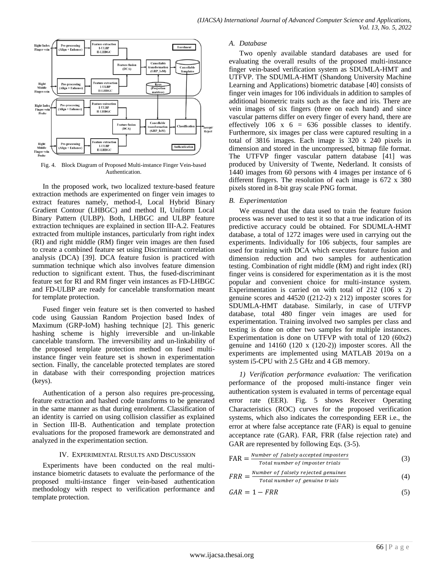

Fig. 4. Block Diagram of Proposed Multi-instance Finger Vein-based Authentication.

In the proposed work, two localized texture-based feature extraction methods are experimented on finger vein images to extract features namely, method-I, Local Hybrid Binary Gradient Contour (LHBGC) and method II, Uniform Local Binary Pattern (ULBP). Both, LHBGC and ULBP feature extraction techniques are explained in section III-A.2. Features extracted from multiple instances, particularly from right index (RI) and right middle (RM) finger vein images are then fused to create a combined feature set using Discriminant correlation analysis (DCA) [39]. DCA feature fusion is practiced with summation technique which also involves feature dimension reduction to significant extent. Thus, the fused-discriminant feature set for RI and RM finger vein instances as FD-LHBGC and FD-ULBP are ready for cancelable transformation meant for template protection.

Fused finger vein feature set is then converted to hashed code using Gaussian Random Projection based Index of Maximum (GRP-IoM) hashing technique [2]. This generic hashing scheme is highly irreversible and un-linkable cancelable transform. The irreversibility and un-linkability of the proposed template protection method on fused multiinstance finger vein feature set is shown in experimentation section. Finally, the cancelable protected templates are stored in database with their corresponding projection matrices (keys).

Authentication of a person also requires pre-processing, feature extraction and hashed code transforms to be generated in the same manner as that during enrolment. Classification of an identity is carried on using collision classifier as explained in Section III-B. Authentication and template protection evaluations for the proposed framework are demonstrated and analyzed in the experimentation section.

## IV. EXPERIMENTAL RESULTS AND DISCUSSION

Experiments have been conducted on the real multiinstance biometric datasets to evaluate the performance of the proposed multi-instance finger vein-based authentication methodology with respect to verification performance and template protection.

#### *A. Database*

Two openly available standard databases are used for evaluating the overall results of the proposed multi-instance finger vein-based verification system as SDUMLA-HMT and UTFVP. The SDUMLA-HMT (Shandong University Machine Learning and Applications) biometric database [40] consists of finger vein images for 106 individuals in addition to samples of additional biometric traits such as the face and iris. There are vein images of six fingers (three on each hand) and since vascular patterns differ on every finger of every hand, there are effectively 106 x  $6 = 636$  possible classes to identify. Furthermore, six images per class were captured resulting in a total of 3816 images. Each image is 320 x 240 pixels in dimension and stored in the uncompressed, bitmap file format. The UTFVP finger vascular pattern database [41] was produced by University of Twente, Nederland. It consists of 1440 images from 60 persons with 4 images per instance of 6 different fingers. The resolution of each image is 672 x 380 pixels stored in 8-bit gray scale PNG format.

#### *B. Experimentation*

We ensured that the data used to train the feature fusion process was never used to test it so that a true indication of its predictive accuracy could be obtained. For SDUMLA-HMT database, a total of 1272 images were used in carrying out the experiments. Individually for 106 subjects, four samples are used for training with DCA which executes feature fusion and dimension reduction and two samples for authentication testing. Combination of right middle (RM) and right index (RI) finger veins is considered for experimentation as it is the most popular and convenient choice for multi-instance system. Experimentation is carried on with total of 212 (106 x 2) genuine scores and 44520 ((212-2) x 212) imposter scores for SDUMLA-HMT database. Similarly, in case of UTFVP database, total 480 finger vein images are used for experimentation. Training involved two samples per class and testing is done on other two samples for multiple instances. Experimentation is done on UTFVP with total of 120 (60x2) genuine and 14160 (120 x (120-2)) imposter scores. All the experiments are implemented using MATLAB 2019a on a system i5-CPU with 2.5 GHz and 4 GB memory.

*1) Verification performance evaluation:* The verification performance of the proposed multi-instance finger vein authentication system is evaluated in terms of percentage equal error rate (EER). Fig. 5 shows Receiver Operating Characteristics (ROC) curves for the proposed verification systems, which also indicates the corresponding EER i.e., the error at where false acceptance rate (FAR) is equal to genuine acceptance rate (GAR). FAR, FRR (false rejection rate) and GAR are represented by following Eqs.  $(3-5)$ .

$$
FAR = \frac{Number\ of\ falsely\ accepted\ impacts}{Total\ number\ of\ impacter\ trials}
$$
 (3)

$$
FRR = \frac{Number\ of\ falsely\ rejected\ genuines}{Total\ number\ of\ genuine\ trials} \tag{4}
$$

$$
GAR = 1 - FRR \tag{5}
$$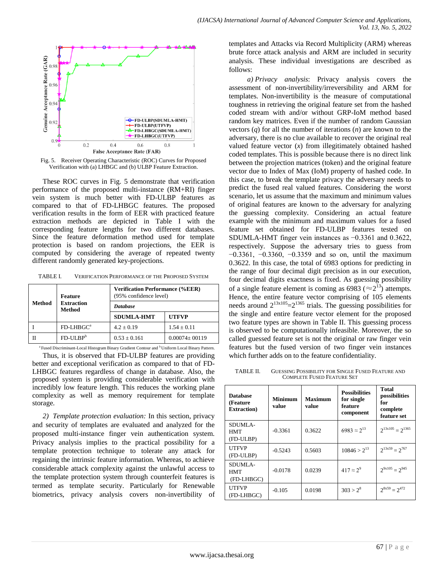

Fig. 5. Receiver Operating Characteristic (ROC) Curves for Proposed Verification with (a) LHBGC and (b) ULBP Feature Extraction.

These ROC curves in Fig. 5 demonstrate that verification performance of the proposed multi-instance (RM+RI) finger vein system is much better with FD-ULBP features as compared to that of FD-LHBGC features. The proposed verification results in the form of EER with practiced feature extraction methods are depicted in Table I with the corresponding feature lengths for two different databases. Since the feature deformation method used for template protection is based on random projections, the EER is computed by considering the average of repeated twenty different randomly generated key-projections.

TABLE I. VERIFICATION PERFORMANCE OF THE PROPOSED SYSTEM

| <b>Method</b> | Feature<br><b>Extraction</b><br><b>Method</b> | <b>Verification Performance (%EER)</b><br>(95% confidence level) |                     |  |  |
|---------------|-----------------------------------------------|------------------------------------------------------------------|---------------------|--|--|
|               |                                               | <b>Database</b>                                                  |                     |  |  |
|               |                                               | <b>SDUMLA-HMT</b>                                                | <b>UTFVP</b>        |  |  |
|               | $FD$ -LHB $GC^a$                              | $4.2 \pm 0.19$                                                   | $1.54 \pm 0.11$     |  |  |
|               | $FD-ULBPb$                                    | $0.53 \pm 0.161$                                                 | $0.00074 \pm 00119$ |  |  |

<sup>a</sup> Fused Discriminant-Local Histogram Binary Gradient Contour and <sup>b</sup> Uniform Local Binary Pattern.

Thus, it is observed that FD-ULBP features are providing better and exceptional verification as compared to that of FD-LHBGC features regardless of change in database. Also, the proposed system is providing considerable verification with incredibly low feature length. This reduces the working plane complexity as well as memory requirement for template storage.

*2) Template protection evaluation:* In this section, privacy and security of templates are evaluated and analyzed for the proposed multi-instance finger vein authentication system. Privacy analysis implies to the practical possibility for a template protection technique to tolerate any attack for regaining the intrinsic feature information. Whereas, to achieve considerable attack complexity against the unlawful access to the template protection system through counterfeit features is termed as template security. Particularly for Renewable biometrics, privacy analysis covers non-invertibility of templates and Attacks via Record Multiplicity (ARM) whereas brute force attack analysis and ARM are included in security analysis. These individual investigations are described as follows:

*a) Privacy analysis*: Privacy analysis covers the assessment of non-invertibility/irreversibility and ARM for templates. Non-invertibility is the measure of computational toughness in retrieving the original feature set from the hashed coded stream with and/or without GRP-IoM method based random key matrices. Even if the number of random Gaussian vectors (*q*) for all the number of iterations (*n*) are known to the adversary, there is no clue available to recover the original real valued feature vector  $(x)$  from illegitimately obtained hashed coded templates. This is possible because there is no direct link between the projection matrices (token) and the original feature vector due to Index of Max (IoM) property of hashed code. In this case, to break the template privacy the adversary needs to predict the fused real valued features. Considering the worst scenario, let us assume that the maximum and minimum values of original features are known to the adversary for analyzing the guessing complexity. Considering an actual feature example with the minimum and maximum values for a fused feature set obtained for FD-ULBP features tested on SDUMLA-HMT finger vein instances as −0.3361 and 0.3622, respectively. Suppose the adversary tries to guess from −0.3361, −0.3360, −0.3359 and so on, until the maximum 0.3622. In this case, the total of 6983 options for predicting in the range of four decimal digit precision as in our execution, four decimal digits exactness is fixed. As guessing possibility of a single feature element is coming as 6983 ( $\approx$ 2<sup>13</sup>) attempts. Hence, the entire feature vector comprising of 105 elements needs around  $2^{13x105} = 2^{1365}$  trials. The guessing possibilities for the single and entire feature vector element for the proposed two feature types are shown in Table II. This guessing process is observed to be computationally infeasible. Moreover, the so called guessed feature set is not the original or raw finger vein features but the fused version of two finger vein instances which further adds on to the feature confidentiality.

TABLE II. GUESSING POSSIBILITY FOR SINGLE FUSED FEATURE AND COMPLETE FUSED FEATURE SET

| <b>Database</b><br>(Feature)<br><b>Extraction</b> ) | <b>Minimum</b><br>value | <b>Maximum</b><br>value | <b>Possibilities</b><br>for single<br>feature<br>component | Total<br>possibilities<br>for<br>complete<br>feature set |
|-----------------------------------------------------|-------------------------|-------------------------|------------------------------------------------------------|----------------------------------------------------------|
| SDUMLA-<br>HMT<br>(FD-ULBP)                         | $-0.3361$               | 0.3622                  | $6983 \approx 2^{13}$                                      | $2^{13x105} = 2^{1365}$                                  |
| <b>UTFVP</b><br>(FD-ULBP)                           | $-0.5243$               | 0.5603                  | $10846 > 2^{13}$                                           | $2^{13x59} = 2^{767}$                                    |
| SDUMLA-<br>HMT<br>(FD-LHBGC)                        | $-0.0178$               | 0.0239                  | $417 \approx 2^{9}$                                        | $2^{9x105} = 2^{945}$                                    |
| <b>UTFVP</b><br>(FD-LHBGC)                          | $-0.105$                | 0.0198                  | $303 > 2^8$                                                | $2^{8x59} = 2^{472}$                                     |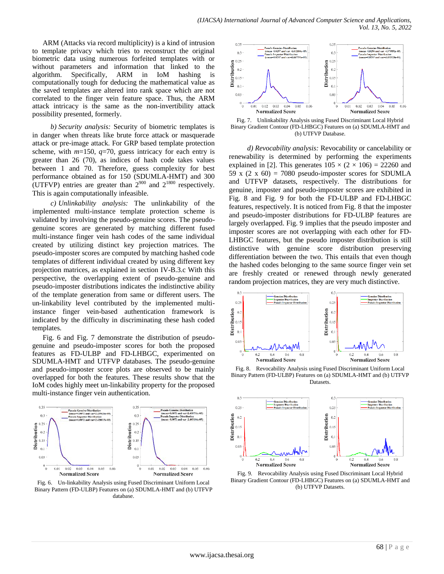ARM (Attacks via record multiplicity) is a kind of intrusion to template privacy which tries to reconstruct the original biometric data using numerous forfeited templates with or without parameters and information that linked to the algorithm. Specifically, ARM in IoM hashing is computationally tough for deducing the mathematical value as the saved templates are altered into rank space which are not correlated to the finger vein feature space. Thus, the ARM attack intricacy is the same as the non-invertibility attack possibility presented, formerly.

*b) Security analysis:* Security of biometric templates is in danger when threats like brute force attack or masquerade attack or pre-image attack. For GRP based template protection scheme, with *m*=150, *q*=70, guess intricacy for each entry is greater than 26 (70), as indices of hash code takes values between 1 and 70. Therefore, guess complexity for best performance obtained as for 150 (SDUMLA-HMT) and 300 (UTFVP) entries are greater than  $2^{900}$  and  $2^{1800}$  respectively. This is again computationally infeasible.

*c) Unlinkability analysis:* The unlinkability of the implemented multi-instance template protection scheme is validated by involving the pseudo-genuine scores. The pseudogenuine scores are generated by matching different fused multi-instance finger vein hash codes of the same individual created by utilizing distinct key projection matrices. The pseudo-imposter scores are computed by matching hashed code templates of different individual created by using different key projection matrices, as explained in section IV-B.3.c With this perspective, the overlapping extent of pseudo-genuine and pseudo-imposter distributions indicates the indistinctive ability of the template generation from same or different users. The un-linkability level contributed by the implemented multiinstance finger vein-based authentication framework is indicated by the difficulty in discriminating these hash coded templates.

Fig. 6 and Fig. 7 demonstrate the distribution of pseudogenuine and pseudo-imposter scores for both the proposed features as FD-ULBP and FD-LHBGC, experimented on SDUMLA-HMT and UTFVP databases. The pseudo-genuine and pseudo-imposter score plots are observed to be mainly overlapped for both the features. These results show that the IoM codes highly meet un-linkability property for the proposed multi-instance finger vein authentication.



Fig. 6. Un-linkability Analysis using Fused Discriminant Uniform Local Binary Pattern (FD-ULBP) Features on (a) SDUMLA-HMT and (b) UTFVP database.



Fig. 7. Unlinkability Analysis using Fused Discriminant Local Hybrid Binary Gradient Contour (FD-LHBGC) Features on (a) SDUMLA-HMT and (b) UTFVP Database.

*d) Revocability analysis:* Revocability or cancelability or renewability is determined by performing the experiments explained in [2]. This generates  $105 \times (2 \times 106) = 22260$  and 59 x  $(2 \times 60) = 7080$  pseudo-imposter scores for SDUMLA and UTFVP datasets, respectively. The distributions for genuine, imposter and pseudo-imposter scores are exhibited in Fig. 8 and Fig. 9 for both the FD-ULBP and FD-LHBGC features, respectively. It is noticed from Fig. 8 that the imposter and pseudo-imposter distributions for FD-ULBP features are largely overlapped. Fig. 9 implies that the pseudo imposter and imposter scores are not overlapping with each other for FD-LHBGC features, but the pseudo imposter distribution is still distinctive with genuine score distribution preserving differentiation between the two. This entails that even though the hashed codes belonging to the same source finger vein set are freshly created or renewed through newly generated random projection matrices, they are very much distinctive.



Fig. 8. Revocability Analysis using Fused Discriminant Uniform Local Binary Pattern (FD-ULBP) Features on (a) SDUMLA-HMT and (b) UTFVP Datasets.



Fig. 9. Revocability Analysis using Fused Discriminant Local Hybrid Binary Gradient Contour (FD-LHBGC) Features on (a) SDUMLA-HMT and (b) UTFVP Datasets.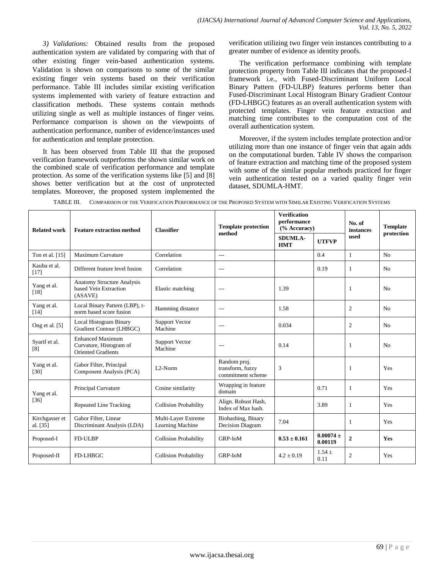*3) Validations:* Obtained results from the proposed authentication system are validated by comparing with that of other existing finger vein-based authentication systems. Validation is shown on comparisons to some of the similar existing finger vein systems based on their verification performance. Table III includes similar existing verification systems implemented with variety of feature extraction and classification methods. These systems contain methods utilizing single as well as multiple instances of finger veins. Performance comparison is shown on the viewpoints of authentication performance, number of evidence/instances used for authentication and template protection.

It has been observed from Table III that the proposed verification framework outperforms the shown similar work on the combined scale of verification performance and template protection. As some of the verification systems like [5] and [8] shows better verification but at the cost of unprotected templates. Moreover, the proposed system implemented the

verification utilizing two finger vein instances contributing to a greater number of evidence as identity proofs.

The verification performance combining with template protection property from Table III indicates that the proposed-I framework i.e., with Fused-Discriminant Uniform Local Binary Pattern (FD-ULBP) features performs better than Fused-Discriminant Local Histogram Binary Gradient Contour (FD-LHBGC) features as an overall authentication system with protected templates. Finger vein feature extraction and matching time contributes to the computation cost of the overall authentication system.

Moreover, if the system includes template protection and/or utilizing more than one instance of finger vein that again adds on the computational burden. Table IV shows the comparison of feature extraction and matching time of the proposed system with some of the similar popular methods practiced for finger vein authentication tested on a varied quality finger vein dataset, SDUMLA-HMT.

| <b>Related work</b>        | <b>Feature extraction method</b>                                                | <b>Classifier</b>                       | <b>Template protection</b>                            | <b>Verification</b><br>performance<br>$(%$ Accuracy) |                          | No. of<br>instances | <b>Template</b> |
|----------------------------|---------------------------------------------------------------------------------|-----------------------------------------|-------------------------------------------------------|------------------------------------------------------|--------------------------|---------------------|-----------------|
|                            |                                                                                 |                                         | method                                                | <b>SDUMLA-</b><br><b>HMT</b>                         | <b>UTFVP</b>             | used                | protection      |
| Ton et al. [15]            | Maximum Curvature                                                               | Correlation                             | $\overline{a}$                                        |                                                      | 0.4                      | 1                   | N <sub>0</sub>  |
| Kauba et al.<br>$[17]$     | Different feature level fusion                                                  | Correlation                             | $---$                                                 |                                                      | 0.19                     | 1                   | N <sub>0</sub>  |
| Yang et al.<br>$[18]$      | <b>Anatomy Structure Analysis</b><br>based Vein Extraction<br>(ASAVE)           | Elastic matching                        | $---$                                                 | 1.39                                                 |                          | 1                   | N <sub>0</sub>  |
| Yang et al.<br>[14]        | Local Binary Pattern (LBP), t-<br>norm based score fusion                       | Hamming distance                        | $---$                                                 | 1.58                                                 |                          | $\overline{c}$      | N <sub>0</sub>  |
| Ong et al. [5]             | Local Histogram Binary<br>Gradient Contour (LHBGC)                              | <b>Support Vector</b><br>Machine        | $---$                                                 | 0.034                                                |                          | $\overline{c}$      | N <sub>0</sub>  |
| Syarif et al.<br>[8]       | <b>Enhanced Maximum</b><br>Curvature, Histogram of<br><b>Oriented Gradients</b> | <b>Support Vector</b><br>Machine        | $---$                                                 | 0.14                                                 |                          | 1                   | No              |
| Yang et al.<br>$[30]$      | Gabor Filter, Principal<br>Component Analysis (PCA)                             | L <sub>2</sub> -Norm                    | Random proj.<br>transform, fuzzy<br>commitment scheme | 3                                                    |                          | 1                   | Yes             |
| Yang et al.<br>$[36]$      | Principal Curvature                                                             | Cosine similarity                       | Wrapping in feature<br>domain                         |                                                      | 0.71                     | 1                   | Yes             |
|                            | <b>Repeated Line Tracking</b>                                                   | <b>Collision Probability</b>            | Align. Robust Hash,<br>Index of Max hash.             |                                                      | 3.89                     | 1                   | Yes             |
| Kirchgasser et<br>al. [35] | Gabor Filter, Linear<br>Discriminant Analysis (LDA)                             | Multi-Layer Extreme<br>Learning Machine | Biohashing, Binary<br>Decision Diagram                | 7.04                                                 |                          | 1                   | Yes             |
| Proposed-I                 | FD-ULBP                                                                         | <b>Collision Probability</b>            | <b>GRP-IoM</b>                                        | $0.53 \pm 0.161$                                     | $0.00074 \pm$<br>0.00119 | $\boldsymbol{2}$    | Yes             |
| Proposed-II                | <b>FD-LHBGC</b>                                                                 | <b>Collision Probability</b>            | <b>GRP-IoM</b>                                        | $4.2 \pm 0.19$                                       | $1.54 \pm$<br>0.11       | $\overline{c}$      | Yes             |

TABLE III. COMPARISON OF THE VERIFICATION PERFORMANCE OF THE PROPOSED SYSTEM WITH SIMILAR EXISTING VERIFICATION SYSTEMS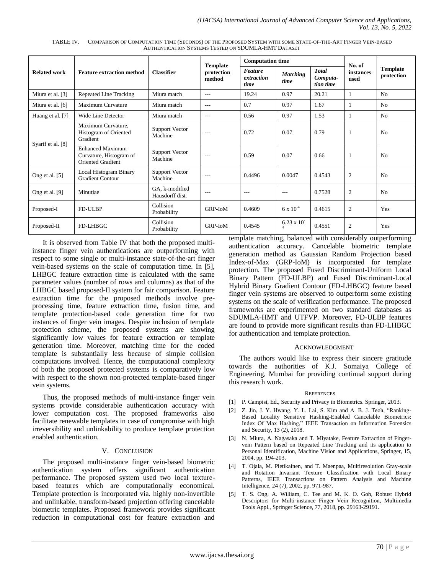| <b>Related work</b> | <b>Feature extraction method</b>                                               | <b>Classifier</b>                 | <b>Template</b><br>protection<br>method | <b>Computation time</b>              |                                   |                                       | No. of            |                               |
|---------------------|--------------------------------------------------------------------------------|-----------------------------------|-----------------------------------------|--------------------------------------|-----------------------------------|---------------------------------------|-------------------|-------------------------------|
|                     |                                                                                |                                   |                                         | <b>Feature</b><br>extraction<br>time | <b>Matching</b><br>time           | <b>Total</b><br>Computa-<br>tion time | instances<br>used | <b>Template</b><br>protection |
| Miura et al. [3]    | Repeated Line Tracking                                                         | Miura match                       | $---$                                   | 19.24                                | 0.97                              | 20.21                                 | 1                 | N <sub>o</sub>                |
| Miura et al. [6]    | Maximum Curvature                                                              | Miura match                       | $---$                                   | 0.7                                  | 0.97                              | 1.67                                  | 1                 | N <sub>o</sub>                |
| Huang et al. [7]    | Wide Line Detector                                                             | Miura match                       | $---$                                   | 0.56                                 | 0.97                              | 1.53                                  | 1                 | N <sub>o</sub>                |
| Syarif et al. [8]   | Maximum Curvature,<br>Histogram of Oriented<br>Gradient                        | <b>Support Vector</b><br>Machine  | $---$                                   | 0.72                                 | 0.07                              | 0.79                                  |                   | N <sub>o</sub>                |
|                     | <b>Enhanced Maximum</b><br>Curvature, Histogram of<br><b>Oriented Gradient</b> | <b>Support Vector</b><br>Machine  | $---$                                   | 0.59                                 | 0.07                              | 0.66                                  |                   | No                            |
| Ong et al. [5]      | Local Histogram Binary<br><b>Gradient Contour</b>                              | <b>Support Vector</b><br>Machine  | $---$                                   | 0.4496                               | 0.0047                            | 0.4543                                | $\overline{c}$    | N <sub>o</sub>                |
| Ong et al. [9]      | Minutiae                                                                       | GA, k-modified<br>Hausdorff dist. | ---                                     | $- - -$                              | $---$                             | 0.7528                                | $\overline{c}$    | N <sub>o</sub>                |
| Proposed-I          | FD-ULBP                                                                        | Collision<br>Probability          | GRP-IoM                                 | 0.4609                               | $6 \times 10^{-4}$                | 0.4615                                | $\boldsymbol{2}$  | Yes                           |
| Proposed-II         | <b>FD-LHBGC</b>                                                                | Collision<br>Probability          | <b>GRP-IoM</b>                          | 0.4545                               | $6.23 \times 10^{-7}$<br>$\Delta$ | 0.4551                                | $\mathfrak{2}$    | Yes                           |

TABLE IV. COMPARISON OF COMPUTATION TIME (SECONDS) OF THE PROPOSED SYSTEM WITH SOME STATE-OF-THE-ART FINGER VEIN-BASED AUTHENTICATION SYSTEMS TESTED ON SDUMLA-HMT DATASET

It is observed from Table IV that both the proposed multiinstance finger vein authentications are outperforming with respect to some single or multi-instance state-of-the-art finger vein-based systems on the scale of computation time. In [5], LHBGC feature extraction time is calculated with the same parameter values (number of rows and columns) as that of the LHBGC based proposed-II system for fair comparison. Feature extraction time for the proposed methods involve preprocessing time, feature extraction time, fusion time, and template protection-based code generation time for two instances of finger vein images. Despite inclusion of template protection scheme, the proposed systems are showing significantly low values for feature extraction or template generation time. Moreover, matching time for the coded template is substantially less because of simple collision computations involved. Hence, the computational complexity of both the proposed protected systems is comparatively low with respect to the shown non-protected template-based finger vein systems.

Thus, the proposed methods of multi-instance finger vein systems provide considerable authentication accuracy with lower computation cost. The proposed frameworks also facilitate renewable templates in case of compromise with high irreversibility and unlinkability to produce template protection enabled authentication.

## V. CONCLUSION

The proposed multi-instance finger vein-based biometric authentication system offers significant authentication performance. The proposed system used two local texturebased features which are computationally economical. Template protection is incorporated via. highly non-invertible and unlinkable, transform-based projection offering cancelable biometric templates. Proposed framework provides significant reduction in computational cost for feature extraction and template matching, balanced with considerably outperforming authentication accuracy. Cancelable biometric template generation method as Gaussian Random Projection based Index-of-Max (GRP-IoM) is incorporated for template protection. The proposed Fused Discriminant-Uniform Local Binary Pattern (FD-ULBP) and Fused Discriminant-Local Hybrid Binary Gradient Contour (FD-LHBGC) feature based finger vein systems are observed to outperform some existing systems on the scale of verification performance. The proposed frameworks are experimented on two standard databases as SDUMLA-HMT and UTFVP. Moreover, FD-ULBP features are found to provide more significant results than FD-LHBGC for authentication and template protection.

#### ACKNOWLEDGMENT

The authors would like to express their sincere gratitude towards the authorities of K.J. Somaiya College of Engineering, Mumbai for providing continual support during this research work.

#### **REFERENCES**

- [1] P. Campisi, Ed., Security and Privacy in Biometrics. Springer, 2013.
- [2] Z. Jin, J. Y. Hwang, Y. L. Lai, S. Kim and A. B. J. Teoh, "Ranking-Based Locality Sensitive Hashing-Enabled Cancelable Biometrics: Index Of Max Hashing," IEEE Transaction on Information Forensics and Security, 13 (2), 2018.
- [3] N. Miura, A. Nagasaka and T. Miyatake, Feature Extraction of Fingervein Pattern based on Repeated Line Tracking and its application to Personal Identification, Machine Vision and Applications, Springer, 15, 2004, pp. 194-203.
- [4] T. Ojala, M. Pietikainen, and T. Maenpaa, Multiresolution Gray-scale and Rotation Invariant Texture Classification with Local Binary Patterns, IEEE Transactions on Pattern Analysis and Machine Intelligence, 24 (7), 2002, pp. 971-987.
- [5] T. S. Ong, A. William, C. Tee and M. K. O. Goh, Robust Hybrid Descriptors for Multi-instance Finger Vein Recognition, Multimedia Tools Appl., Springer Science, 77, 2018, pp. 29163-29191.